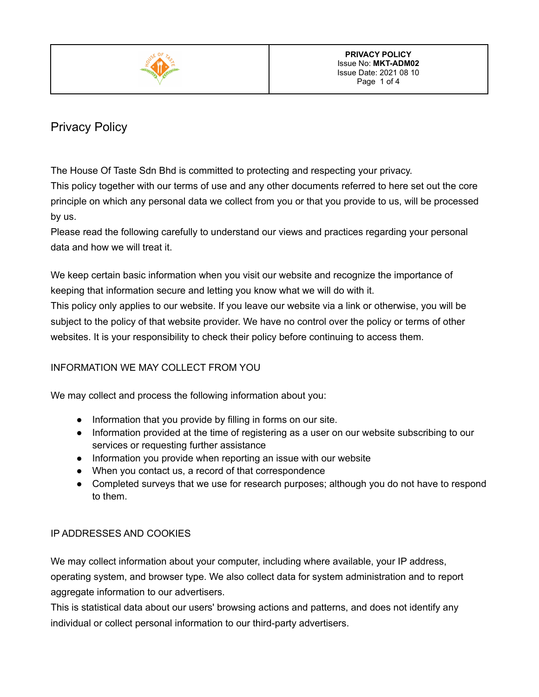

# Privacy Policy

The House Of Taste Sdn Bhd is committed to protecting and respecting your privacy.

This policy together with our terms of use and any other documents referred to here set out the core principle on which any personal data we collect from you or that you provide to us, will be processed by us.

Please read the following carefully to understand our views and practices regarding your personal data and how we will treat it.

We keep certain basic information when you visit our website and recognize the importance of keeping that information secure and letting you know what we will do with it.

This policy only applies to our website. If you leave our website via a link or otherwise, you will be subject to the policy of that website provider. We have no control over the policy or terms of other websites. It is your responsibility to check their policy before continuing to access them.

# INFORMATION WE MAY COLLECT FROM YOU

We may collect and process the following information about you:

- Information that you provide by filling in forms on our site.
- Information provided at the time of registering as a user on our website subscribing to our services or requesting further assistance
- Information you provide when reporting an issue with our website
- When you contact us, a record of that correspondence
- Completed surveys that we use for research purposes; although you do not have to respond to them.

# IP ADDRESSES AND COOKIES

We may collect information about your computer, including where available, your IP address, operating system, and browser type. We also collect data for system administration and to report aggregate information to our advertisers.

This is statistical data about our users' browsing actions and patterns, and does not identify any individual or collect personal information to our third-party advertisers.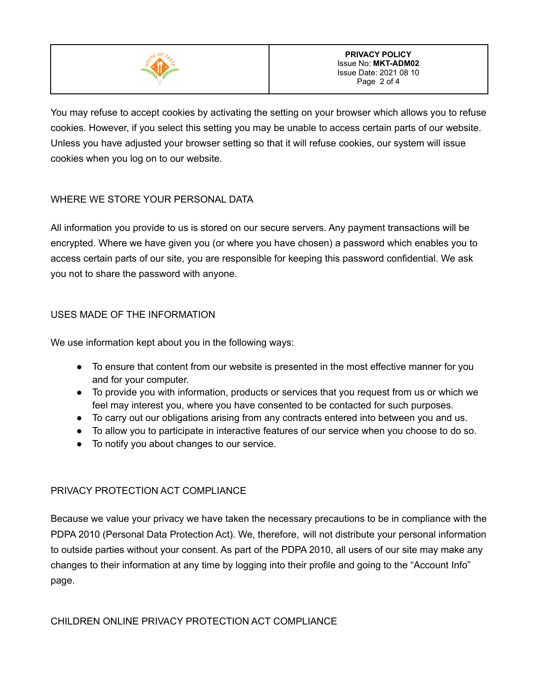

You may refuse to accept cookies by activating the setting on your browser which allows you to refuse cookies. However, if you select this setting you may be unable to access certain parts of our website. Unless you have adjusted your browser setting so that it will refuse cookies, our system will issue cookies when you log on to our website.

## WHERE WE STORE YOUR PERSONAL DATA

All information you provide to us is stored on our secure servers. Any payment transactions will be encrypted. Where we have given you (or where you have chosen) a password which enables you to access certain parts of our site, you are responsible for keeping this password confidential. We ask you not to share the password with anyone.

### USES MADE OF THE INFORMATION

We use information kept about you in the following ways:

- To ensure that content from our website is presented in the most effective manner for you and for your computer.
- To provide you with information, products or services that you request from us or which we feel may interest you, where you have consented to be contacted for such purposes.
- To carry out our obligations arising from any contracts entered into between you and us.
- To allow you to participate in interactive features of our service when you choose to do so.
- To notify you about changes to our service.

#### PRIVACY PROTECTION ACT COMPLIANCE

Because we value your privacy we have taken the necessary precautions to be in compliance with the PDPA 2010 (Personal Data Protection Act). We, therefore, will not distribute your personal information to outside parties without your consent. As part of the PDPA 2010, all users of our site may make any changes to their information at any time by logging into their profile and going to the "Account Info" page.

#### CHILDREN ONLINE PRIVACY PROTECTION ACT COMPLIANCE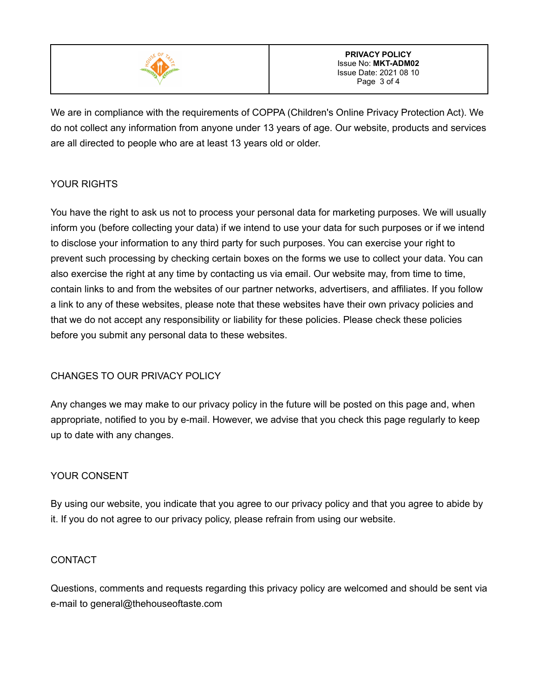

We are in compliance with the requirements of COPPA (Children's Online Privacy Protection Act). We do not collect any information from anyone under 13 years of age. Our website, products and services are all directed to people who are at least 13 years old or older.

## YOUR RIGHTS

You have the right to ask us not to process your personal data for marketing purposes. We will usually inform you (before collecting your data) if we intend to use your data for such purposes or if we intend to disclose your information to any third party for such purposes. You can exercise your right to prevent such processing by checking certain boxes on the forms we use to collect your data. You can also exercise the right at any time by contacting us via email. Our website may, from time to time, contain links to and from the websites of our partner networks, advertisers, and affiliates. If you follow a link to any of these websites, please note that these websites have their own privacy policies and that we do not accept any responsibility or liability for these policies. Please check these policies before you submit any personal data to these websites.

### CHANGES TO OUR PRIVACY POLICY

Any changes we may make to our privacy policy in the future will be posted on this page and, when appropriate, notified to you by e-mail. However, we advise that you check this page regularly to keep up to date with any changes.

### YOUR CONSENT

By using our website, you indicate that you agree to our privacy policy and that you agree to abide by it. If you do not agree to our privacy policy, please refrain from using our website.

#### CONTACT

Questions, comments and requests regarding this privacy policy are welcomed and should be sent via e-mail to general@thehouseoftaste.com